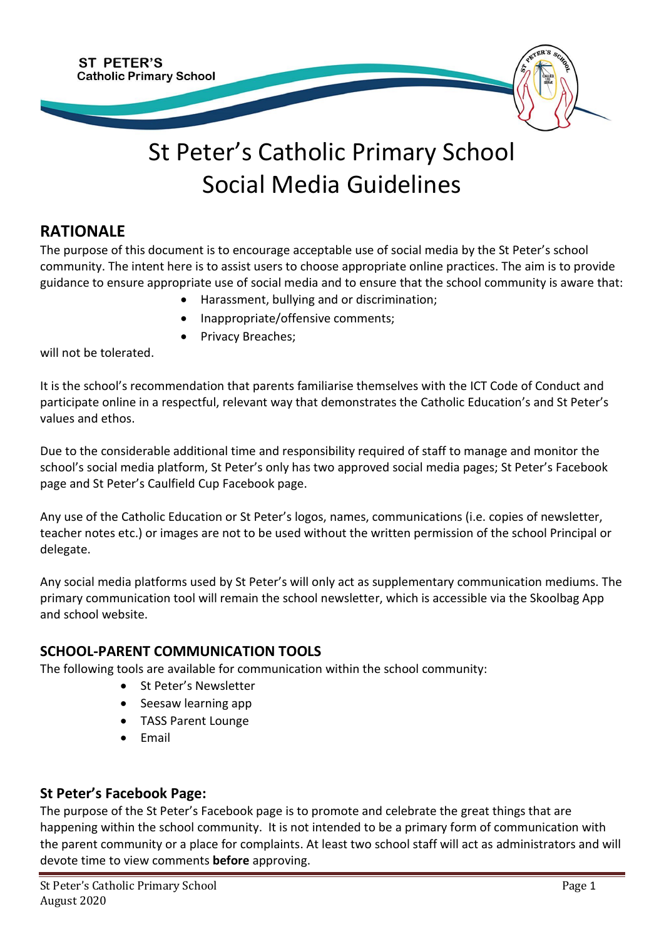

# St Peter's Catholic Primary School Social Media Guidelines

## **RATIONALE**

The purpose of this document is to encourage acceptable use of social media by the St Peter's school community. The intent here is to assist users to choose appropriate online practices. The aim is to provide guidance to ensure appropriate use of social media and to ensure that the school community is aware that:

- Harassment, bullying and or discrimination;
- Inappropriate/offensive comments;
- Privacy Breaches;

will not be tolerated.

It is the school's recommendation that parents familiarise themselves with the ICT Code of Conduct and participate online in a respectful, relevant way that demonstrates the Catholic Education's and St Peter's values and ethos.

Due to the considerable additional time and responsibility required of staff to manage and monitor the school's social media platform, St Peter's only has two approved social media pages; St Peter's Facebook page and St Peter's Caulfield Cup Facebook page.

Any use of the Catholic Education or St Peter's logos, names, communications (i.e. copies of newsletter, teacher notes etc.) or images are not to be used without the written permission of the school Principal or delegate.

Any social media platforms used by St Peter's will only act as supplementary communication mediums. The primary communication tool will remain the school newsletter, which is accessible via the Skoolbag App and school website.

### **SCHOOL-PARENT COMMUNICATION TOOLS**

The following tools are available for communication within the school community:

- St Peter's Newsletter
- Seesaw learning app
- TASS Parent Lounge
- Email

### **St Peter's Facebook Page:**

The purpose of the St Peter's Facebook page is to promote and celebrate the great things that are happening within the school community. It is not intended to be a primary form of communication with the parent community or a place for complaints. At least two school staff will act as administrators and will devote time to view comments **before** approving.